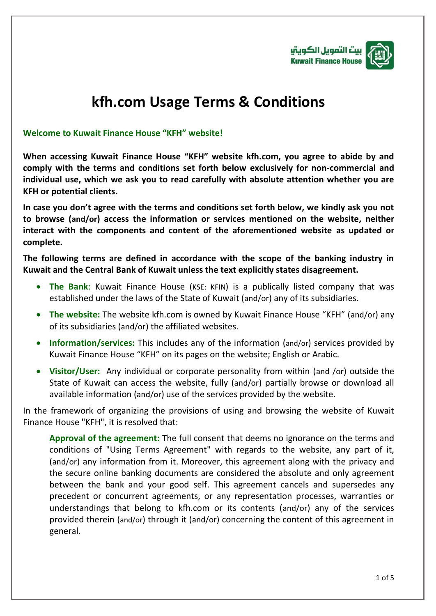

## **kfh.com Usage Terms & Conditions**

## **Welcome to Kuwait Finance House "KFH" website!**

**When accessing Kuwait Finance House "KFH" website kfh.com, you agree to abide by and comply with the terms and conditions set forth below exclusively for non-commercial and individual use, which we ask you to read carefully with absolute attention whether you are KFH or potential clients.**

**In case you don't agree with the terms and conditions set forth below, we kindly ask you not to browse (and/or) access the information or services mentioned on the website, neither interact with the components and content of the aforementioned website as updated or complete.**

**The following terms are defined in accordance with the scope of the banking industry in Kuwait and the Central Bank of Kuwait unless the text explicitly states disagreement.** 

- **The Bank**: Kuwait Finance House (KSE: KFIN) is a publically listed company that was established under the laws of the State of Kuwait (and/or) any of its subsidiaries.
- **The website:** The website kfh.com is owned by Kuwait Finance House "KFH" (and/or) any of its subsidiaries (and/or) the affiliated websites.
- **Information/services:** This includes any of the information (and/or) services provided by Kuwait Finance House "KFH" on its pages on the website; English or Arabic.
- **Visitor/User:** Any individual or corporate personality from within (and /or) outside the State of Kuwait can access the website, fully (and/or) partially browse or download all available information (and/or) use of the services provided by the website.

In the framework of organizing the provisions of using and browsing the website of Kuwait Finance House "KFH", it is resolved that:

**Approval of the agreement:** The full consent that deems no ignorance on the terms and conditions of "Using Terms Agreement" with regards to the website, any part of it, (and/or) any information from it. Moreover, this agreement along with the privacy and the secure online banking documents are considered the absolute and only agreement between the bank and your good self. This agreement cancels and supersedes any precedent or concurrent agreements, or any representation processes, warranties or understandings that belong to kfh.com or its contents (and/or) any of the services provided therein (and/or) through it (and/or) concerning the content of this agreement in general.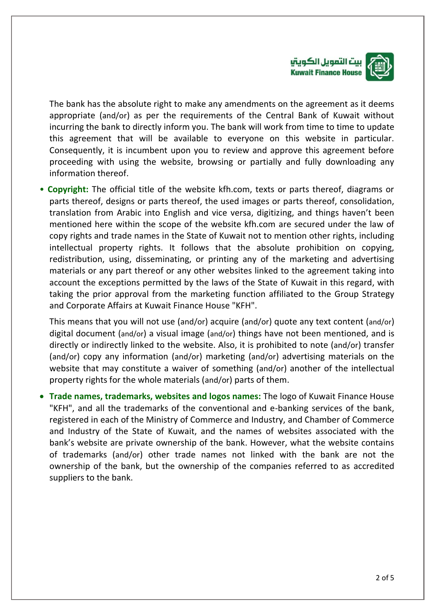

The bank has the absolute right to make any amendments on the agreement as it deems appropriate (and/or) as per the requirements of the Central Bank of Kuwait without incurring the bank to directly inform you. The bank will work from time to time to update this agreement that will be available to everyone on this website in particular. Consequently, it is incumbent upon you to review and approve this agreement before proceeding with using the website, browsing or partially and fully downloading any information thereof.

• **Copyright:** The official title of the website kfh.com, texts or parts thereof, diagrams or parts thereof, designs or parts thereof, the used images or parts thereof, consolidation, translation from Arabic into English and vice versa, digitizing, and things haven't been mentioned here within the scope of the website kfh.com are secured under the law of copy rights and trade names in the State of Kuwait not to mention other rights, including intellectual property rights. It follows that the absolute prohibition on copying, redistribution, using, disseminating, or printing any of the marketing and advertising materials or any part thereof or any other websites linked to the agreement taking into account the exceptions permitted by the laws of the State of Kuwait in this regard, with taking the prior approval from the marketing function affiliated to the Group Strategy and Corporate Affairs at Kuwait Finance House "KFH".

This means that you will not use (and/or) acquire (and/or) quote any text content (and/or) digital document (and/or) a visual image (and/or) things have not been mentioned, and is directly or indirectly linked to the website. Also, it is prohibited to note (and/or) transfer (and/or) copy any information (and/or) marketing (and/or) advertising materials on the website that may constitute a waiver of something (and/or) another of the intellectual property rights for the whole materials (and/or) parts of them.

 **Trade names, trademarks, websites and logos names:** The logo of Kuwait Finance House "KFH", and all the trademarks of the conventional and e-banking services of the bank, registered in each of the Ministry of Commerce and Industry, and Chamber of Commerce and Industry of the State of Kuwait, and the names of websites associated with the bank's website are private ownership of the bank. However, what the website contains of trademarks (and/or) other trade names not linked with the bank are not the ownership of the bank, but the ownership of the companies referred to as accredited suppliers to the bank.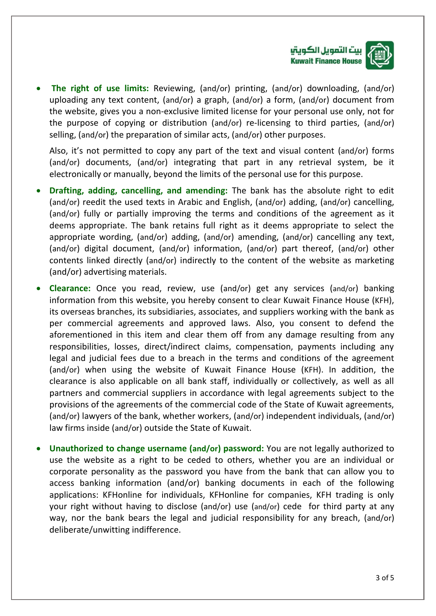

 **The right of use limits:** Reviewing, (and/or) printing, (and/or) downloading, (and/or) uploading any text content, (and/or) a graph, (and/or) a form, (and/or) document from the website, gives you a non-exclusive limited license for your personal use only, not for the purpose of copying or distribution (and/or) re-licensing to third parties, (and/or) selling, (and/or) the preparation of similar acts, (and/or) other purposes.

Also, it's not permitted to copy any part of the text and visual content (and/or) forms (and/or) documents, (and/or) integrating that part in any retrieval system, be it electronically or manually, beyond the limits of the personal use for this purpose.

- **Drafting, adding, cancelling, and amending:** The bank has the absolute right to edit (and/or) reedit the used texts in Arabic and English, (and/or) adding, (and/or) cancelling, (and/or) fully or partially improving the terms and conditions of the agreement as it deems appropriate. The bank retains full right as it deems appropriate to select the appropriate wording, (and/or) adding, (and/or) amending, (and/or) cancelling any text, (and/or) digital document, (and/or) information, (and/or) part thereof, (and/or) other contents linked directly (and/or) indirectly to the content of the website as marketing (and/or) advertising materials.
- **Clearance:** Once you read, review, use (and/or) get any services (and/or) banking information from this website, you hereby consent to clear Kuwait Finance House (KFH), its overseas branches, its subsidiaries, associates, and suppliers working with the bank as per commercial agreements and approved laws. Also, you consent to defend the aforementioned in this item and clear them off from any damage resulting from any responsibilities, losses, direct/indirect claims, compensation, payments including any legal and judicial fees due to a breach in the terms and conditions of the agreement (and/or) when using the website of Kuwait Finance House (KFH). In addition, the clearance is also applicable on all bank staff, individually or collectively, as well as all partners and commercial suppliers in accordance with legal agreements subject to the provisions of the agreements of the commercial code of the State of Kuwait agreements, (and/or) lawyers of the bank, whether workers, (and/or) independent individuals, (and/or) law firms inside (and/or) outside the State of Kuwait.
- **Unauthorized to change username (and/or) password:** You are not legally authorized to use the website as a right to be ceded to others, whether you are an individual or corporate personality as the password you have from the bank that can allow you to access banking information (and/or) banking documents in each of the following applications: KFHonline for individuals, KFHonline for companies, KFH trading is only your right without having to disclose (and/or) use (and/or) cede for third party at any way, nor the bank bears the legal and judicial responsibility for any breach, (and/or) deliberate/unwitting indifference.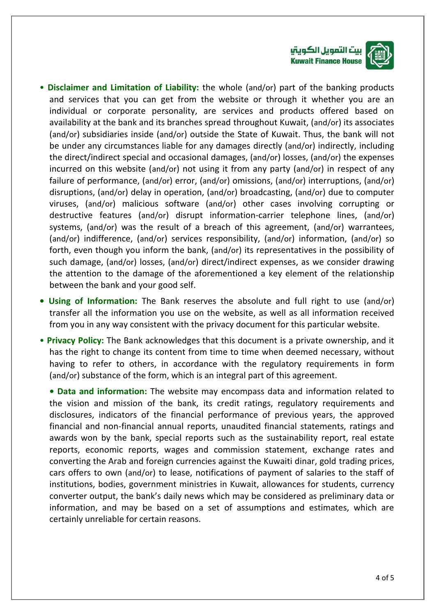



- **Disclaimer and Limitation of Liability:** the whole (and/or) part of the banking products and services that you can get from the website or through it whether you are an individual or corporate personality, are services and products offered based on availability at the bank and its branches spread throughout Kuwait, (and/or) its associates (and/or) subsidiaries inside (and/or) outside the State of Kuwait. Thus, the bank will not be under any circumstances liable for any damages directly (and/or) indirectly, including the direct/indirect special and occasional damages, (and/or) losses, (and/or) the expenses incurred on this website (and/or) not using it from any party (and/or) in respect of any failure of performance, (and/or) error, (and/or) omissions, (and/or) interruptions, (and/or) disruptions, (and/or) delay in operation, (and/or) broadcasting, (and/or) due to computer viruses, (and/or) malicious software (and/or) other cases involving corrupting or destructive features (and/or) disrupt information-carrier telephone lines, (and/or) systems, (and/or) was the result of a breach of this agreement, (and/or) warrantees, (and/or) indifference, (and/or) services responsibility, (and/or) information, (and/or) so forth, even though you inform the bank, (and/or) its representatives in the possibility of such damage, (and/or) losses, (and/or) direct/indirect expenses, as we consider drawing the attention to the damage of the aforementioned a key element of the relationship between the bank and your good self.
- **• Using of Information:** The Bank reserves the absolute and full right to use (and/or) transfer all the information you use on the website, as well as all information received from you in any way consistent with the privacy document for this particular website.
- **Privacy Policy:** The Bank acknowledges that this document is a private ownership, and it has the right to change its content from time to time when deemed necessary, without having to refer to others, in accordance with the regulatory requirements in form (and/or) substance of the form, which is an integral part of this agreement.

**• Data and information:** The website may encompass data and information related to the vision and mission of the bank, its credit ratings, regulatory requirements and disclosures, indicators of the financial performance of previous years, the approved financial and non-financial annual reports, unaudited financial statements, ratings and awards won by the bank, special reports such as the sustainability report, real estate reports, economic reports, wages and commission statement, exchange rates and converting the Arab and foreign currencies against the Kuwaiti dinar, gold trading prices, cars offers to own (and/or) to lease, notifications of payment of salaries to the staff of institutions, bodies, government ministries in Kuwait, allowances for students, currency converter output, the bank's daily news which may be considered as preliminary data or information, and may be based on a set of assumptions and estimates, which are certainly unreliable for certain reasons.